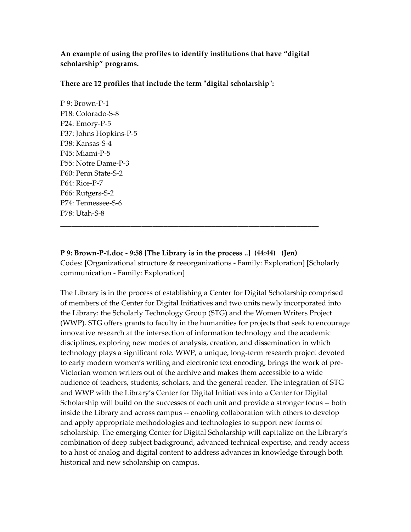**An example of using the profiles to identify institutions that have "digital scholarship" programs.** 

**There are 12 profiles that include the term ʺdigital scholarshipʺ:**

P 9: Brown‐P‐1 P18: Colorado‐S‐8 P24: Emory‐P‐5 P37: Johns Hopkins‐P‐5 P38: Kansas‐S‐4 P45: Miami‐P‐5 P55: Notre Dame‐P‐3 P60: Penn State‐S‐2 P64: Rice‐P‐7 P66: Rutgers‐S‐2 P74: Tennessee‐S‐6 P78: Utah‐S‐8

# **P 9: Brown‐P‐1.doc ‐ 9:58 [The Library is in the process ..] (44:44) (Jen)**

\_\_\_\_\_\_\_\_\_\_\_\_\_\_\_\_\_\_\_\_\_\_\_\_\_\_\_\_\_\_\_\_\_\_\_\_\_\_\_\_\_\_\_\_\_\_\_\_\_\_\_\_\_\_\_\_\_\_\_\_\_\_\_\_\_\_\_\_\_\_

Codes: [Organizational structure & reeorganizations ‐ Family: Exploration] [Scholarly communication ‐ Family: Exploration]

The Library is in the process of establishing a Center for Digital Scholarship comprised of members of the Center for Digital Initiatives and two units newly incorporated into the Library: the Scholarly Technology Group (STG) and the Women Writers Project (WWP). STG offers grants to faculty in the humanities for projects that seek to encourage innovative research at the intersection of information technology and the academic disciplines, exploring new modes of analysis, creation, and dissemination in which technology plays a significant role. WWP, a unique, long‐term research project devoted to early modern women's writing and electronic text encoding, brings the work of pre‐ Victorian women writers out of the archive and makes them accessible to a wide audience of teachers, students, scholars, and the general reader. The integration of STG and WWP with the Library's Center for Digital Initiatives into a Center for Digital Scholarship will build on the successes of each unit and provide a stronger focus -- both inside the Library and across campus ‐‐ enabling collaboration with others to develop and apply appropriate methodologies and technologies to support new forms of scholarship. The emerging Center for Digital Scholarship will capitalize on the Library's combination of deep subject background, advanced technical expertise, and ready access to a host of analog and digital content to address advances in knowledge through both historical and new scholarship on campus.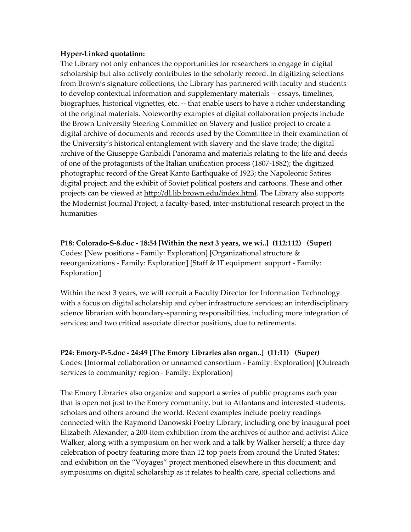#### **Hyper‐Linked quotation:**

The Library not only enhances the opportunities for researchers to engage in digital scholarship but also actively contributes to the scholarly record. In digitizing selections from Brown's signature collections, the Library has partnered with faculty and students to develop contextual information and supplementary materials ‐‐ essays, timelines, biographies, historical vignettes, etc. ‐‐ that enable users to have a richer understanding of the original materials. Noteworthy examples of digital collaboration projects include the Brown University Steering Committee on Slavery and Justice project to create a digital archive of documents and records used by the Committee in their examination of the University's historical entanglement with slavery and the slave trade; the digital archive of the Giuseppe Garibaldi Panorama and materials relating to the life and deeds of one of the protagonists of the Italian unification process (1807‐1882); the digitized photographic record of the Great Kanto Earthquake of 1923; the Napoleonic Satires digital project; and the exhibit of Soviet political posters and cartoons. These and other projects can be viewed at http://dl.lib.brown.edu/index.html. The Library also supports the Modernist Journal Project, a faculty‐based, inter‐institutional research project in the humanities

**P18: Colorado‐S‐8.doc ‐ 18:54 [Within the next 3 years, we wi..] (112:112) (Super)** Codes: [New positions ‐ Family: Exploration] [Organizational structure & reeorganizations ‐ Family: Exploration] [Staff & IT equipment support ‐ Family: Exploration]

Within the next 3 years, we will recruit a Faculty Director for Information Technology with a focus on digital scholarship and cyber infrastructure services; an interdisciplinary science librarian with boundary‐spanning responsibilities, including more integration of services; and two critical associate director positions, due to retirements.

**P24: Emory‐P‐5.doc ‐ 24:49 [The Emory Libraries also organ..] (11:11) (Super)** Codes: [Informal collaboration or unnamed consortium ‐ Family: Exploration] [Outreach services to community/ region - Family: Exploration]

The Emory Libraries also organize and support a series of public programs each year that is open not just to the Emory community, but to Atlantans and interested students, scholars and others around the world. Recent examples include poetry readings connected with the Raymond Danowski Poetry Library, including one by inaugural poet Elizabeth Alexander; a 200‐item exhibition from the archives of author and activist Alice Walker, along with a symposium on her work and a talk by Walker herself; a three‐day celebration of poetry featuring more than 12 top poets from around the United States; and exhibition on the "Voyages" project mentioned elsewhere in this document; and symposiums on digital scholarship as it relates to health care, special collections and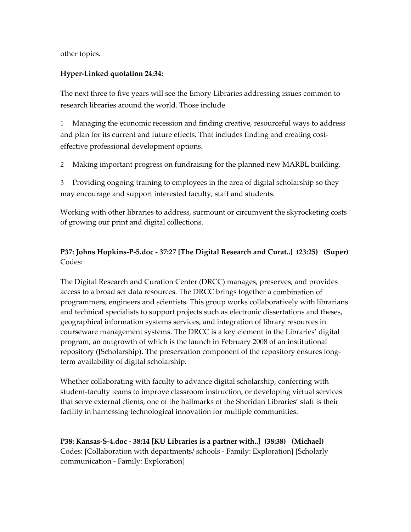other topics.

#### **Hyper‐Linked quotation 24:34:**

The next three to five years will see the Emory Libraries addressing issues common to research libraries around the world. Those include

Managing the economic recession and finding creative, resourceful ways to address and plan for its current and future effects. That includes finding and creating costeffective professional development options.

2 Making important progress on fundraising for the planned new MARBL building.

3 Providing ongoing training to employees in the area of digital scholarship so they may encourage and support interested faculty, staff and students.

Working with other libraries to address, surmount or circumvent the skyrocketing costs of growing our print and digital collections.

## **P37: Johns Hopkins‐P‐5.doc ‐ 37:27 [The Digital Research and Curat..] (23:25) (Super)** Codes:

The Digital Research and Curation Center (DRCC) manages, preserves, and provides access to a broad set data resources. The DRCC brings together a combination of programmers, engineers and scientists. This group works collaboratively with librarians and technical specialists to support projects such as electronic dissertations and theses, geographical information systems services, and integration of library resources in courseware management systems. The DRCC is a key element in the Libraries' digital program, an outgrowth of which is the launch in February 2008 of an institutional repository (JScholarship). The preservation component of the repository ensures long‐ term availability of digital scholarship.

Whether collaborating with faculty to advance digital scholarship, conferring with student‐faculty teams to improve classroom instruction, or developing virtual services that serve external clients, one of the hallmarks of the Sheridan Libraries' staff is their facility in harnessing technological innovation for multiple communities.

**P38: Kansas‐S‐4.doc ‐ 38:14 [KU Libraries is a partner with..] (38:38) (Michael)** Codes: [Collaboration with departments/ schools ‐ Family: Exploration] [Scholarly communication ‐ Family: Exploration]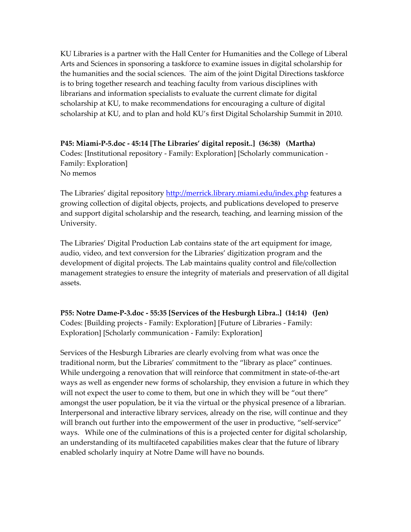KU Libraries is a partner with the Hall Center for Humanities and the College of Liberal Arts and Sciences in sponsoring a taskforce to examine issues in digital scholarship for the humanities and the social sciences. The aim of the joint Digital Directions taskforce is to bring together research and teaching faculty from various disciplines with librarians and information specialists to evaluate the current climate for digital scholarship at KU, to make recommendations for encouraging a culture of digital scholarship at KU, and to plan and hold KU's first Digital Scholarship Summit in 2010.

**P45: Miami‐P‐5.doc ‐ 45:14 [The Libraries' digital reposit..] (36:38) (Martha)** Codes: [Institutional repository ‐ Family: Exploration] [Scholarly communication ‐ Family: Exploration] No memos

The Libraries' digital repository http://merrick.library.miami.edu/index.php features a growing collection of digital objects, projects, and publications developed to preserve and support digital scholarship and the research, teaching, and learning mission of the University.

The Libraries' Digital Production Lab contains state of the art equipment for image, audio, video, and text conversion for the Libraries' digitization program and the development of digital projects. The Lab maintains quality control and file/collection management strategies to ensure the integrity of materials and preservation of all digital assets.

**P55: Notre Dame‐P‐3.doc ‐ 55:35 [Services of the Hesburgh Libra..] (14:14) (Jen)** Codes: [Building projects ‐ Family: Exploration] [Future of Libraries ‐ Family: Exploration] [Scholarly communication ‐ Family: Exploration]

Services of the Hesburgh Libraries are clearly evolving from what was once the traditional norm, but the Libraries' commitment to the "library as place" continues. While undergoing a renovation that will reinforce that commitment in state‐of‐the‐art ways as well as engender new forms of scholarship, they envision a future in which they will not expect the user to come to them, but one in which they will be "out there" amongst the user population, be it via the virtual or the physical presence of a librarian. Interpersonal and interactive library services, already on the rise, will continue and they will branch out further into the empowerment of the user in productive, "self-service" ways. While one of the culminations of this is a projected center for digital scholarship, an understanding of its multifaceted capabilities makes clear that the future of library enabled scholarly inquiry at Notre Dame will have no bounds.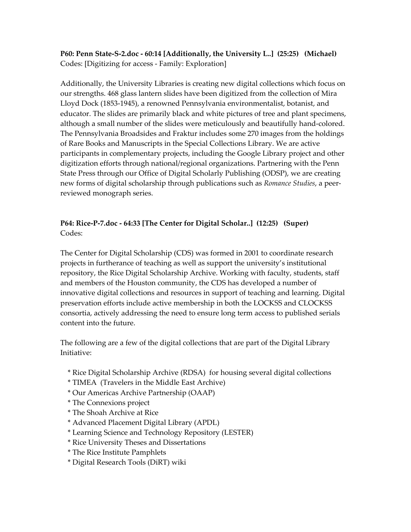**P60: Penn State‐S‐2.doc ‐ 60:14 [Additionally, the University L..] (25:25) (Michael)** Codes: [Digitizing for access ‐ Family: Exploration]

Additionally, the University Libraries is creating new digital collections which focus on our strengths. 468 glass lantern slides have been digitized from the collection of Mira Lloyd Dock (1853‐1945), a renowned Pennsylvania environmentalist, botanist, and educator. The slides are primarily black and white pictures of tree and plant specimens, although a small number of the slides were meticulously and beautifully hand‐colored. The Pennsylvania Broadsides and Fraktur includes some 270 images from the holdings of Rare Books and Manuscripts in the Special Collections Library. We are active participants in complementary projects, including the Google Library project and other digitization efforts through national/regional organizations. Partnering with the Penn State Press through our Office of Digital Scholarly Publishing (ODSP), we are creating new forms of digital scholarship through publications such as *Romance Studies*, a peer‐ reviewed monograph series.

### **P64: Rice‐P‐7.doc ‐ 64:33 [The Center for Digital Scholar..] (12:25) (Super)** Codes:

The Center for Digital Scholarship (CDS) was formed in 2001 to coordinate research projects in furtherance of teaching as well as support the university's institutional repository, the Rice Digital Scholarship Archive. Working with faculty, students, staff and members of the Houston community, the CDS has developed a number of innovative digital collections and resources in support of teaching and learning. Digital preservation efforts include active membership in both the LOCKSS and CLOCKSS consortia, actively addressing the need to ensure long term access to published serials content into the future.

The following are a few of the digital collections that are part of the Digital Library Initiative:

- \* Rice Digital Scholarship Archive (RDSA) for housing several digital collections
- \* TIMEA (Travelers in the Middle East Archive)
- \* Our Americas Archive Partnership (OAAP)
- \* The Connexions project
- \* The Shoah Archive at Rice
- \* Advanced Placement Digital Library (APDL)
- \* Learning Science and Technology Repository (LESTER)
- \* Rice University Theses and Dissertations
- \* The Rice Institute Pamphlets
- \* Digital Research Tools (DiRT) wiki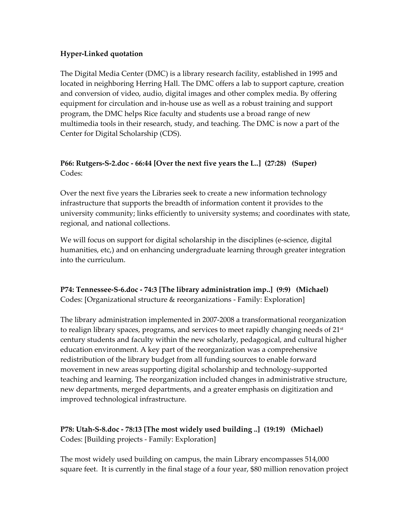#### **Hyper‐Linked quotation**

The Digital Media Center (DMC) is a library research facility, established in 1995 and located in neighboring Herring Hall. The DMC offers a lab to support capture, creation and conversion of video, audio, digital images and other complex media. By offering equipment for circulation and in‐house use as well as a robust training and support program, the DMC helps Rice faculty and students use a broad range of new multimedia tools in their research, study, and teaching. The DMC is now a part of the Center for Digital Scholarship (CDS).

#### **P66: Rutgers‐S‐2.doc ‐ 66:44 [Over the next five years the L..] (27:28) (Super)** Codes:

Over the next five years the Libraries seek to create a new information technology infrastructure that supports the breadth of information content it provides to the university community; links efficiently to university systems; and coordinates with state, regional, and national collections.

We will focus on support for digital scholarship in the disciplines (e-science, digital humanities, etc,) and on enhancing undergraduate learning through greater integration into the curriculum.

#### **P74: Tennessee‐S‐6.doc ‐ 74:3 [The library administration imp..] (9:9) (Michael)** Codes: [Organizational structure & reeorganizations ‐ Family: Exploration]

The library administration implemented in 2007‐2008 a transformational reorganization to realign library spaces, programs, and services to meet rapidly changing needs of  $21<sup>st</sup>$ century students and faculty within the new scholarly, pedagogical, and cultural higher education environment. A key part of the reorganization was a comprehensive redistribution of the library budget from all funding sources to enable forward movement in new areas supporting digital scholarship and technology‐supported teaching and learning. The reorganization included changes in administrative structure, new departments, merged departments, and a greater emphasis on digitization and improved technological infrastructure.

## **P78: Utah‐S‐8.doc ‐ 78:13 [The most widely used building ..] (19:19) (Michael)** Codes: [Building projects ‐ Family: Exploration]

The most widely used building on campus, the main Library encompasses 514,000 square feet. It is currently in the final stage of a four year, \$80 million renovation project